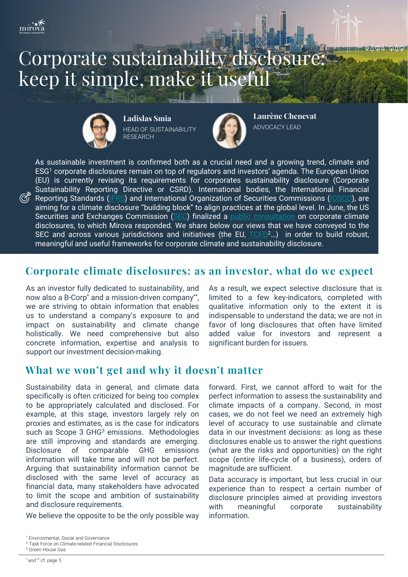

# Corporate sustainability disclosure: keep it simple, make it useful



 $\mathbb{L}^{\circ}$ 

**Ladislas Smia** HEAD OF SUSTAINABILITY **RESEARCH** 



**Laurène Chenevat** ADVOCACY LEAD

As sustainable investment is confirmed both as a crucial need and a growing trend, climate and ESG<sup>1</sup> corporate disclosures remain on top of regulators and investors' agenda. The European Union (EU) is currently revising its requirements for corporates sustainability disclosure (Corporate Sustainability Reporting Directive or CSRD). International bodies, the International Financial Reporting Standards ([IFRS\)](https://www.ifrs.org/) and International Organization of Securities Commissions ([IOSCO\)](https://www.iosco.org/), are aiming for a climate disclosure "building block" to align practices at the global level. In June, the US Securities and Exchanges Commission [\(SEC\)](https://www.sec.gov/) finalized a public [consultation](https://www.sec.gov/news/public-statement/lee-climate-change-disclosures) on corporate climate disclosures, to which Mirova responded. We share below our views that we have conveyed to the SEC and across various jurisdictions and initiatives (the EU, [TCFD](https://www.fsb-tcfd.org/)<sup>2</sup>...) in order to build robust, meaningful and useful frameworks for corporate climate and sustainability disclosure.

# **Corporate climate disclosures: as an investor, what do we expect**

As an investor fully dedicated to sustainability, and now also a B-Corp\* and a mission-driven company\*\* , we are striving to obtain information that enables us to understand a company's exposure to and impact on sustainability and climate change holistically. We need comprehensive but also concrete information, expertise and analysis to support our investment decision-making.

As a result, we expect selective disclosure that is limited to a few key-indicators, completed with qualitative information only to the extent it is indispensable to understand the data; we are not in favor of long disclosures that often have limited added value for investors and represent a significant burden for issuers.

# **What we won't get and why it doesn't matter**

Sustainability data in general, and climate data specifically is often criticized for being too complex to be appropriately calculated and disclosed. For example, at this stage, investors largely rely on proxies and estimates, as is the case for indicators such as Scope 3 GHG<sup>3</sup> emissions. Methodologies are still improving and standards are emerging. Disclosure of comparable GHG emissions information will take time and will not be perfect. Arguing that sustainability information cannot be disclosed with the same level of accuracy as financial data, many stakeholders have advocated to limit the scope and ambition of sustainability and disclosure requirements.

We believe the opposite to be the only possible way

forward. First, we cannot afford to wait for the perfect information to assess the sustainability and climate impacts of a company. Second, in most cases, we do not feel we need an extremely high level of accuracy to use sustainable and climate data in our investment decisions: as long as these disclosures enable us to answer the right questions (what are the risks and opportunities) on the right scope (entire life-cycle of a business), orders of magnitude are sufficient.

Data accuracy is important, but less crucial in our experience than to respect a certain number of disclosure principles aimed at providing investors with meaningful corporate sustainability information.

<sup>1</sup> Environmental, Social and Governance

<sup>2</sup> Task Force on Climate-related Financial Disclosures <sup>3</sup> Green House Gas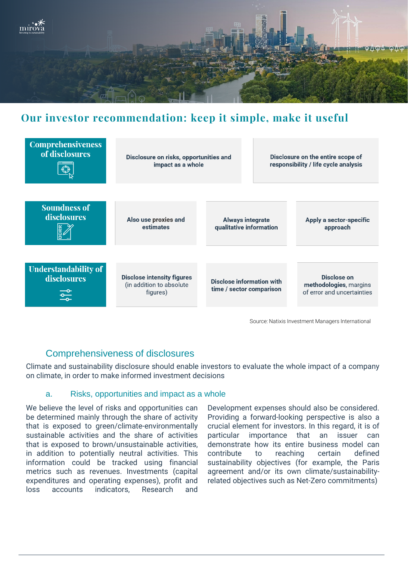

# **Our investor recommendation: keep it simple, make it useful**



Source: Natixis Investment Managers International

# Comprehensiveness of disclosures

Climate and sustainability disclosure should enable investors to evaluate the whole impact of a company on climate, in order to make informed investment decisions

#### a. Risks, opportunities and impact as a whole

We believe the level of risks and opportunities can be determined mainly through the share of activity that is exposed to green/climate-environmentally sustainable activities and the share of activities that is exposed to brown/unsustainable activities, in addition to potentially neutral activities. This information could be tracked using financial metrics such as revenues. Investments (capital expenditures and operating expenses), profit and loss accounts indicators, Research and

Development expenses should also be considered. Providing a forward-looking perspective is also a crucial element for investors. In this regard, it is of particular importance that an issuer can demonstrate how its entire business model can contribute to reaching certain defined sustainability objectives (for example, the Paris agreement and/or its own climate/sustainabilityrelated objectives such as Net-Zero commitments)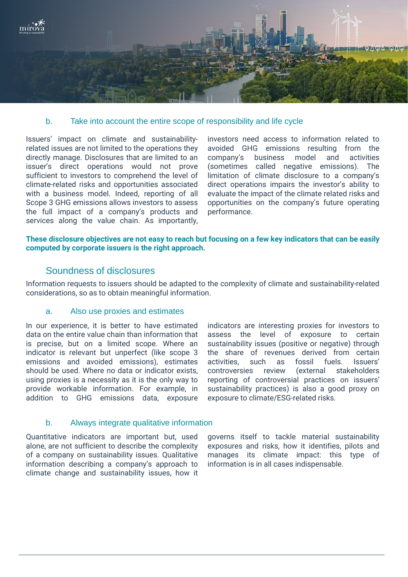

#### b. Take into account the entire scope of responsibility and life cycle

Issuers' impact on climate and sustainabilityrelated issues are not limited to the operations they directly manage. Disclosures that are limited to an issuer's direct operations would not prove sufficient to investors to comprehend the level of climate-related risks and opportunities associated with a business model. Indeed, reporting of all Scope 3 GHG emissions allows investors to assess the full impact of a company's products and services along the value chain. As importantly,

investors need access to information related to avoided GHG emissions resulting from the company's business model and activities (sometimes called negative emissions). The limitation of climate disclosure to a company's direct operations impairs the investor's ability to evaluate the impact of the climate related risks and opportunities on the company's future operating performance.

#### These disclosure objectives are not easy to reach but focusing on a few key indicators that can be easily **computed by corporate issuers is the right approach.**

## Soundness of disclosures

Information requests to issuers should be adapted to the complexity of climate and sustainability-related considerations, so as to obtain meaningful information.

### a. Also use proxies and estimates

In our experience, it is better to have estimated data on the entire value chain than information that is precise, but on a limited scope. Where an indicator is relevant but unperfect (like scope 3 emissions and avoided emissions), estimates should be used. Where no data or indicator exists, using proxies is a necessity as it is the only way to provide workable information. For example, in addition to GHG emissions data, exposure

indicators are interesting proxies for investors to assess the level of exposure to certain sustainability issues (positive or negative) through the share of revenues derived from certain activities, such as fossil fuels. Issuers' controversies review (external stakeholders reporting of controversial practices on issuers' sustainability practices) is also a good proxy on exposure to climate/ESG-related risks.

#### b. Always integrate qualitative information

Quantitative indicators are important but, used alone, are not sufficient to describe the complexity of a company on sustainability issues. Qualitative information describing a company's approach to climate change and sustainability issues, how it

governs itself to tackle material sustainability exposures and risks, how it identifies, pilots and manages its climate impact: this type of information is in all cases indispensable.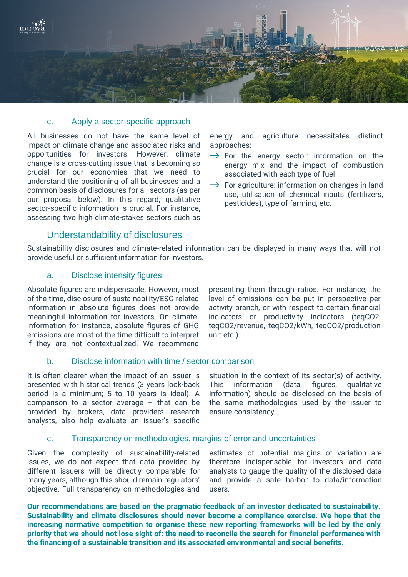

#### c. Apply a sector-specific approach

All businesses do not have the same level of impact on climate change and associated risks and opportunities for investors. However, climate change is a cross-cutting issue that is becoming so crucial for our economies that we need to understand the positioning of all businesses and a common basis of disclosures for all sectors (as per our proposal below). In this regard, qualitative sector-specific information is crucial. For instance, assessing two high climate-stakes sectors such as energy and agriculture necessitates distinct approaches:

- $\rightarrow$  For the energy sector: information on the energy mix and the impact of combustion associated with each type of fuel
- $\rightarrow$  For agriculture: information on changes in land use, utilisation of chemical inputs (fertilizers, pesticides), type of farming, etc.

## Understandability of disclosures

Sustainability disclosures and climate-related information can be displayed in many ways that will not provide useful or sufficient information for investors.

#### a. Disclose intensity figures

Absolute figures are indispensable. However, most of the time, disclosure of sustainability/ESG-related information in absolute figures does not provide meaningful information for investors. On climateinformation for instance, absolute figures of GHG emissions are most of the time difficult to interpret if they are not contextualized. We recommend

presenting them through ratios. For instance, the level of emissions can be put in perspective per activity branch, or with respect to certain financial indicators or productivity indicators (teqCO2, teqCO2/revenue, teqCO2/kWh, teqCO2/production unit etc.).

## b. Disclose information with time / sector comparison

It is often clearer when the impact of an issuer is presented with historical trends (3 years look-back period is a minimum; 5 to 10 years is ideal). A comparison to a sector average – that can be provided by brokers, data providers research analysts, also help evaluate an issuer's specific situation in the context of its sector(s) of activity. This information (data, figures, qualitative information) should be disclosed on the basis of the same methodologies used by the issuer to ensure consistency.

#### c. Transparency on methodologies, margins of error and uncertainties

Given the complexity of sustainability-related issues, we do not expect that data provided by different issuers will be directly comparable for many years, although this should remain regulators' objective. Full transparency on methodologies and estimates of potential margins of variation are therefore indispensable for investors and data analysts to gauge the quality of the disclosed data and provide a safe harbor to data/information users.

**Our recommendations are based on the pragmatic feedback of an investor dedicated to sustainability. Sustainability and climate disclosures should never become a compliance exercise. We hope that the increasing normative competition to organise these new reporting frameworks will be led by the only** priority that we should not lose sight of: the need to reconcile the search for financial performance with **the financing of a sustainable transition and its associated environmental and social benefits.**